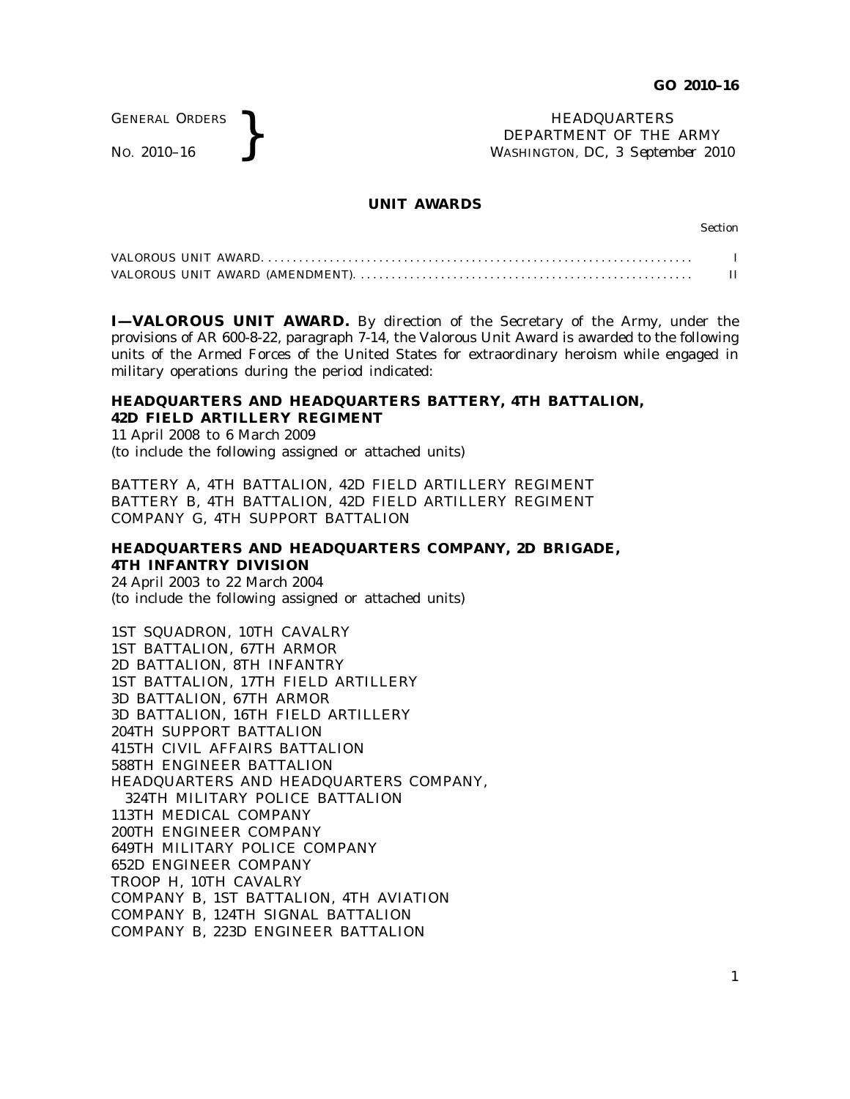GENERAL ORDERS

GENERAL ORDERS **REAL ORDERS** HEADQUARTERS **HEADQUARTERS HEADQUARTERS HEADQUARTERS DEPARTMENT** OF THE **WASHINGTON, DC**, 3 Septem DEPARTMENT OF THE ARMY WASHINGTON, DC, *3 September 2010*

#### **UNIT AWARDS**

Section

**I-VALOROUS UNIT AWARD.** By direction of the Secretary of the Army, under the provisions of AR 600-8-22, paragraph 7-14, the Valorous Unit Award is awarded to the following units of the Armed Forces of the United States for extraordinary heroism while engaged in military operations during the period indicated:

## **HEADQUARTERS AND HEADQUARTERS BATTERY, 4TH BATTALION, 42D FIELD ARTILLERY REGIMENT**

11 April 2008 to 6 March 2009 (to include the following assigned or attached units)

BATTERY A, 4TH BATTALION, 42D FIELD ARTILLERY REGIMENT BATTERY B, 4TH BATTALION, 42D FIELD ARTILLERY REGIMENT COMPANY G, 4TH SUPPORT BATTALION

**HEADQUARTERS AND HEADQUARTERS COMPANY, 2D BRIGADE, 4TH INFANTRY DIVISION**

24 April 2003 to 22 March 2004 (to include the following assigned or attached units)

1ST SQUADRON, 10TH CAVALRY 1ST BATTALION, 67TH ARMOR 2D BATTALION, 8TH INFANTRY 1ST BATTALION, 17TH FIELD ARTILLERY 3D BATTALION, 67TH ARMOR 3D BATTALION, 16TH FIELD ARTILLERY 204TH SUPPORT BATTALION 415TH CIVIL AFFAIRS BATTALION 588TH ENGINEER BATTALION HEADQUARTERS AND HEADQUARTERS COMPANY, 324TH MILITARY POLICE BATTALION 113TH MEDICAL COMPANY 200TH ENGINEER COMPANY 649TH MILITARY POLICE COMPANY 652D ENGINEER COMPANY TROOP H, 10TH CAVALRY COMPANY B, 1ST BATTALION, 4TH AVIATION COMPANY B, 124TH SIGNAL BATTALION COMPANY B, 223D ENGINEER BATTALION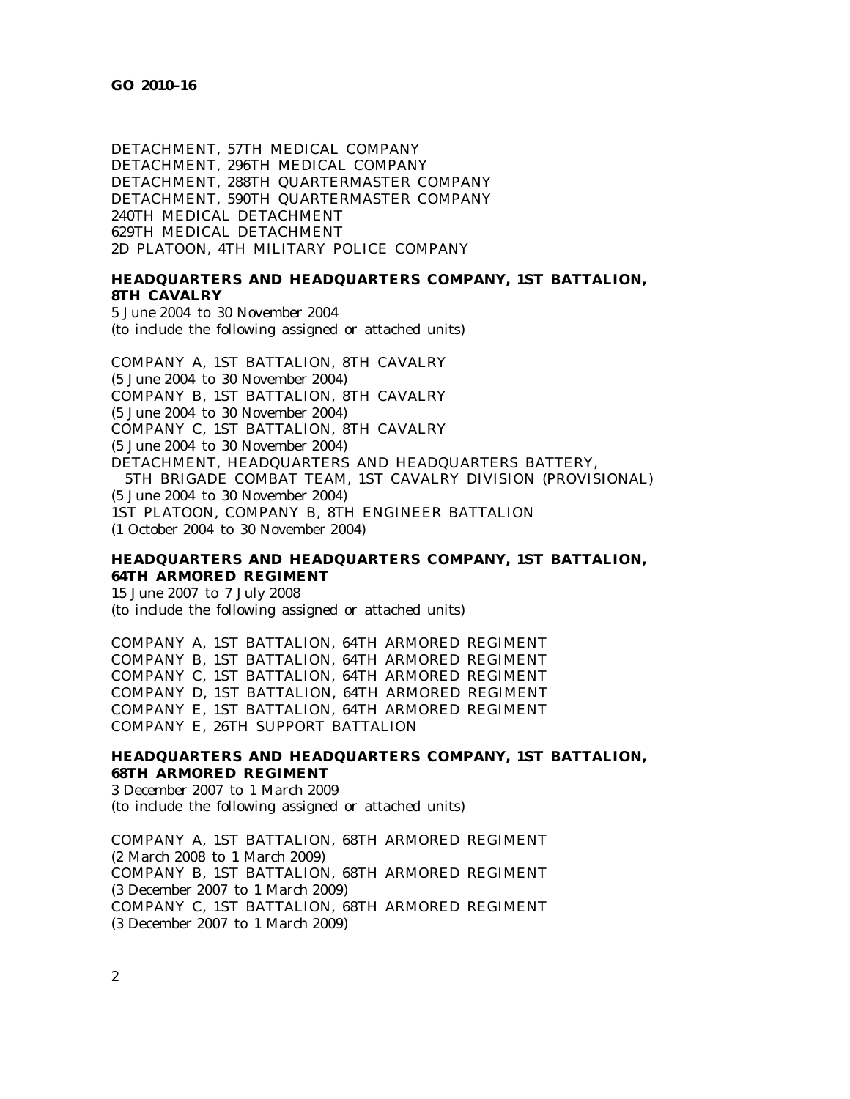DETACHMENT, 57TH MEDICAL COMPANY DETACHMENT, 296TH MEDICAL COMPANY DETACHMENT, 288TH QUARTERMASTER COMPANY DETACHMENT, 590TH QUARTERMASTER COMPANY 240TH MEDICAL DETACHMENT 629TH MEDICAL DETACHMENT 2D PLATOON, 4TH MILITARY POLICE COMPANY

## **HEADQUARTERS AND HEADQUARTERS COMPANY, 1ST BATTALION, 8TH CAVALRY**

5 June 2004 to 30 November 2004 (to include the following assigned or attached units)

COMPANY A, 1ST BATTALION, 8TH CAVALRY (5 June 2004 to 30 November 2004) COMPANY B, 1ST BATTALION, 8TH CAVALRY (5 June 2004 to 30 November 2004) COMPANY C, 1ST BATTALION, 8TH CAVALRY (5 June 2004 to 30 November 2004) DETACHMENT, HEADQUARTERS AND HEADQUARTERS BATTERY, 5TH BRIGADE COMBAT TEAM, 1ST CAVALRY DIVISION (PROVISIONAL) (5 June 2004 to 30 November 2004) 1ST PLATOON, COMPANY B, 8TH ENGINEER BATTALION (1 October 2004 to 30 November 2004)

## **HEADQUARTERS AND HEADQUARTERS COMPANY, 1ST BATTALION, 64TH ARMORED REGIMENT**

15 June 2007 to 7 July 2008 (to include the following assigned or attached units)

COMPANY A, 1ST BATTALION, 64TH ARMORED REGIMENT COMPANY B, 1ST BATTALION, 64TH ARMORED REGIMENT COMPANY C, 1ST BATTALION, 64TH ARMORED REGIMENT COMPANY D, 1ST BATTALION, 64TH ARMORED REGIMENT COMPANY E, 1ST BATTALION, 64TH ARMORED REGIMENT COMPANY E, 26TH SUPPORT BATTALION

#### **HEADQUARTERS AND HEADQUARTERS COMPANY, 1ST BATTALION, 68TH ARMORED REGIMENT**

3 December 2007 to 1 March 2009 (to include the following assigned or attached units)

COMPANY A, 1ST BATTALION, 68TH ARMORED REGIMENT (2 March 2008 to 1 March 2009) COMPANY B, 1ST BATTALION, 68TH ARMORED REGIMENT (3 December 2007 to 1 March 2009) COMPANY C, 1ST BATTALION, 68TH ARMORED REGIMENT (3 December 2007 to 1 March 2009)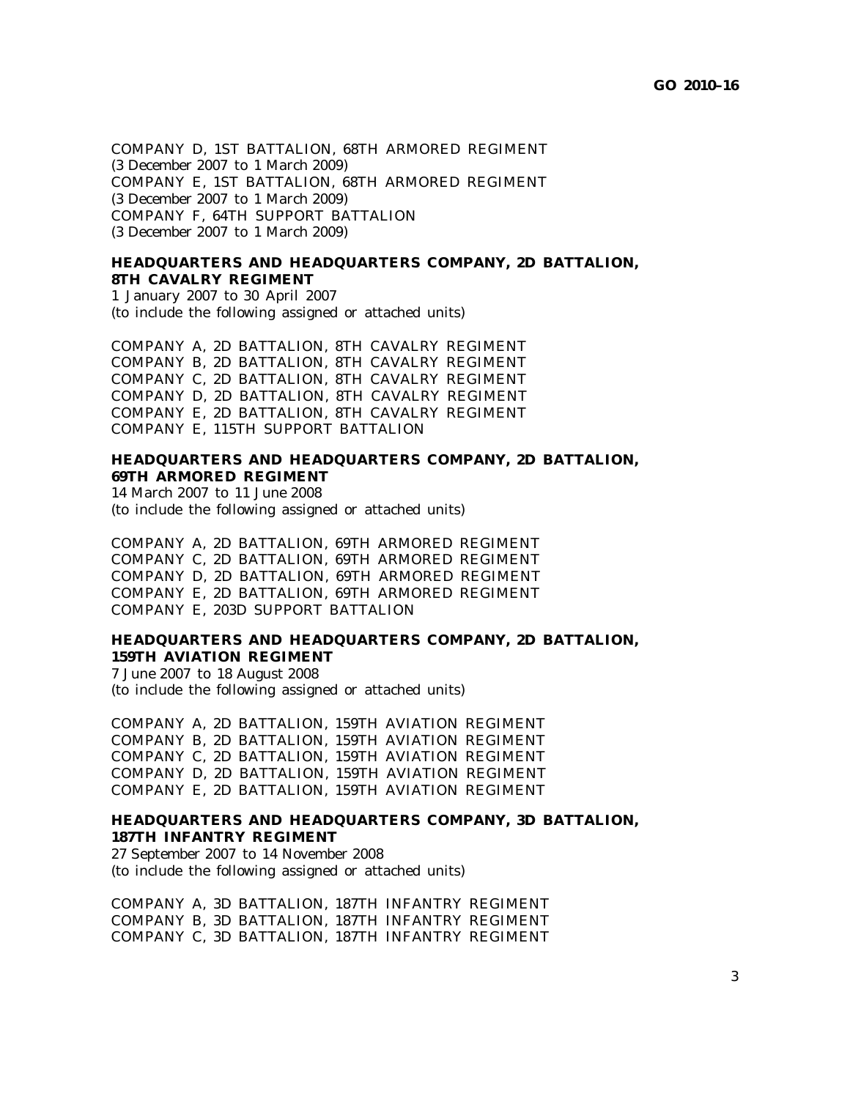COMPANY D, 1ST BATTALION, 68TH ARMORED REGIMENT (3 December 2007 to 1 March 2009) COMPANY E, 1ST BATTALION, 68TH ARMORED REGIMENT (3 December 2007 to 1 March 2009) COMPANY F, 64TH SUPPORT BATTALION (3 December 2007 to 1 March 2009)

#### **HEADQUARTERS AND HEADQUARTERS COMPANY, 2D BATTALION, 8TH CAVALRY REGIMENT**

1 January 2007 to 30 April 2007 (to include the following assigned or attached units)

COMPANY A, 2D BATTALION, 8TH CAVALRY REGIMENT COMPANY B, 2D BATTALION, 8TH CAVALRY REGIMENT COMPANY C, 2D BATTALION, 8TH CAVALRY REGIMENT COMPANY D, 2D BATTALION, 8TH CAVALRY REGIMENT COMPANY E, 2D BATTALION, 8TH CAVALRY REGIMENT COMPANY E, 115TH SUPPORT BATTALION

## **HEADQUARTERS AND HEADQUARTERS COMPANY, 2D BATTALION, 69TH ARMORED REGIMENT**

14 March 2007 to 11 June 2008 (to include the following assigned or attached units)

COMPANY A, 2D BATTALION, 69TH ARMORED REGIMENT COMPANY C, 2D BATTALION, 69TH ARMORED REGIMENT COMPANY D, 2D BATTALION, 69TH ARMORED REGIMENT COMPANY E, 2D BATTALION, 69TH ARMORED REGIMENT COMPANY E, 203D SUPPORT BATTALION

## **HEADQUARTERS AND HEADQUARTERS COMPANY, 2D BATTALION, 159TH AVIATION REGIMENT**

7 June 2007 to 18 August 2008 (to include the following assigned or attached units)

COMPANY A, 2D BATTALION, 159TH AVIATION REGIMENT COMPANY B, 2D BATTALION, 159TH AVIATION REGIMENT COMPANY C, 2D BATTALION, 159TH AVIATION REGIMENT COMPANY D, 2D BATTALION, 159TH AVIATION REGIMENT COMPANY E, 2D BATTALION, 159TH AVIATION REGIMENT

#### **HEADQUARTERS AND HEADQUARTERS COMPANY, 3D BATTALION, 187TH INFANTRY REGIMENT**

27 September 2007 to 14 November 2008 (to include the following assigned or attached units)

COMPANY A, 3D BATTALION, 187TH INFANTRY REGIMENT COMPANY B, 3D BATTALION, 187TH INFANTRY REGIMENT COMPANY C, 3D BATTALION, 187TH INFANTRY REGIMENT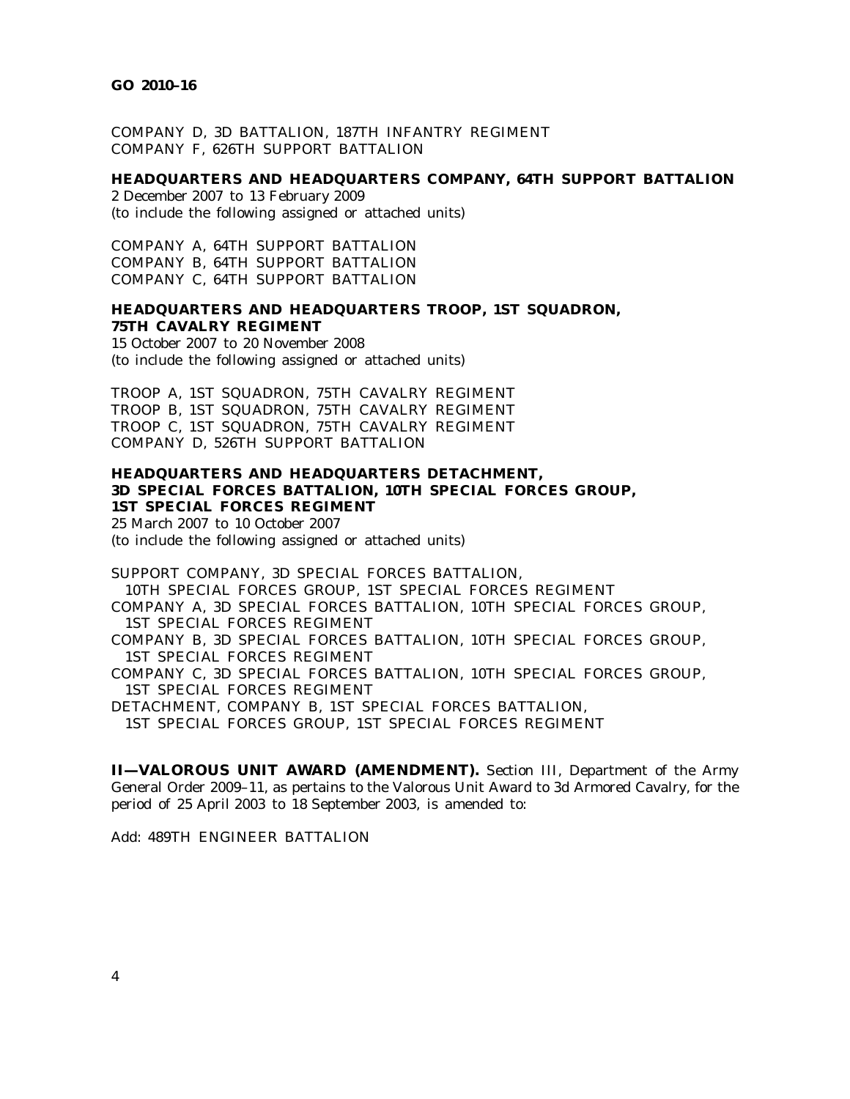COMPANY D, 3D BATTALION, 187TH INFANTRY REGIMENT COMPANY F, 626TH SUPPORT BATTALION

#### **HEADQUARTERS AND HEADQUARTERS COMPANY, 64TH SUPPORT BATTALION**

2 December 2007 to 13 February 2009 (to include the following assigned or attached units)

COMPANY A, 64TH SUPPORT BATTALION COMPANY B, 64TH SUPPORT BATTALION COMPANY C, 64TH SUPPORT BATTALION

## **HEADQUARTERS AND HEADQUARTERS TROOP, 1ST SQUADRON, 75TH CAVALRY REGIMENT**

15 October 2007 to 20 November 2008 (to include the following assigned or attached units)

TROOP A, 1ST SQUADRON, 75TH CAVALRY REGIMENT TROOP B, 1ST SQUADRON, 75TH CAVALRY REGIMENT TROOP C, 1ST SQUADRON, 75TH CAVALRY REGIMENT COMPANY D, 526TH SUPPORT BATTALION

# **HEADQUARTERS AND HEADQUARTERS DETACHMENT, 3D SPECIAL FORCES BATTALION, 10TH SPECIAL FORCES GROUP, 1ST SPECIAL FORCES REGIMENT**

25 March 2007 to 10 October 2007 (to include the following assigned or attached units)

SUPPORT COMPANY, 3D SPECIAL FORCES BATTALION, 10TH SPECIAL FORCES GROUP, 1ST SPECIAL FORCES REGIMENT COMPANY A, 3D SPECIAL FORCES BATTALION, 10TH SPECIAL FORCES GROUP, 1ST SPECIAL FORCES REGIMENT COMPANY B, 3D SPECIAL FORCES BATTALION, 10TH SPECIAL FORCES GROUP, 1ST SPECIAL FORCES REGIMENT COMPANY C, 3D SPECIAL FORCES BATTALION, 10TH SPECIAL FORCES GROUP, 1ST SPECIAL FORCES REGIMENT DETACHMENT, COMPANY B, 1ST SPECIAL FORCES BATTALION,

1ST SPECIAL FORCES GROUP, 1ST SPECIAL FORCES REGIMENT

**II—VALOROUS UNIT AWARD (AMENDMENT).** Section III, Department of the Army General Order 2009–11, as pertains to the Valorous Unit Award to 3d Armored Cavalry, for the period of 25 April 2003 to 18 September 2003, is amended to:

Add: 489TH ENGINEER BATTALION